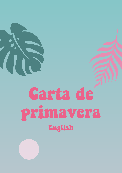# Carta de primavera English

 $\overline{\mathcal{C}}$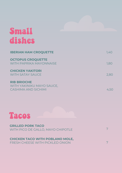## Small dishes

| <b>IBERIAN HAM CROQUETTE</b>                            | 1,40 |
|---------------------------------------------------------|------|
| <b>OCTOPUS CROQUETTE</b><br>WITH PAPRIKA MAYONNAISE     | 1,80 |
| <b>CHICKEN YAKITORI</b><br><b>WITH SATAY SAUCE</b>      | 2,80 |
| <b>RIB BRIOCHE</b>                                      |      |
| WITH YAKINIKU MAYO SAUCE,<br><b>CASHIMA AND SICHIMI</b> |      |



#### **GRILLED PORK TACO** WITH PICO DE GALLO, MAYO CHIPOTLE

**CHICKEN TACO WITH POBLANO MOLE,** FRESH CHEESE WITH PICKLED ONION

7

7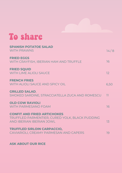#### To share

| <b>SPANISH POTATOE SALAD</b><br><b>WITH PRAWNS</b>                                                               | 14/8            |
|------------------------------------------------------------------------------------------------------------------|-----------------|
| <b>FRIED EGGS</b><br>WITH CRAYFISH, IBERIAN HAM AND TRUFFLE                                                      | 16              |
| <b>FRIED SQUID</b><br><b>WITH LIME ALIOLI SAUCE</b>                                                              | 12              |
| <b>FRENCH FRIES</b><br>WITH ALIOLI SAUCE AND SPICY OIL                                                           | 6,50            |
| <b>GRILLED SALAD,</b><br>SMOKED SARDINE, STRACCIATELLA ZUCA AND ROMESCU                                          | $\overline{11}$ |
| <b>OLD COW RAVIOLI</b><br><b>WITH PARMESANO FOAM</b>                                                             | 16              |
| <b>CONFIT AND FRIED ARTICHOKES</b><br>TRUFFLED PARMENTIER, CURED YOLK, BLACK PUDDING<br>AND IBERIAN IBERIAN JOWL | 13              |
| <b>TRUFFLED SIRLOIN CARPACCIO,</b><br>CAVIARIOLI, CREAMY PARMESAN AND CAPERS                                     | 19              |
|                                                                                                                  |                 |

#### **ASK ABOUT OUR RICE**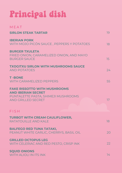# Principal dish

| MEAT                                                                                                                                 |                  |
|--------------------------------------------------------------------------------------------------------------------------------------|------------------|
| <b>SIRLON STEAK TARTAR</b>                                                                                                           | 19               |
| <b>IBERIAN PORK</b><br>WITH MOJO PICÓN SAUCE, PEPPERS Y POTATOES                                                                     | 18               |
| <b>BURGER TXULETA</b><br>FRIED ONION, CARAMELIZED ONION, AND MAYO<br><b>BURGER SAUCE</b>                                             | 15 <sup>15</sup> |
| <b>TXOGITXU SIRLON WITH MUSHROOMS SAUCE</b><br><b>AND POTATOES</b>                                                                   | 24               |
| <b>T-BONE</b><br><b>WITH CARAMELIZED PEPPERS</b>                                                                                     | 55               |
| <b>FAKE RISSOTTO WITH MUSHROOMS</b><br><b>AND IBERIAN SECRET</b><br>PUNTALETTE PASTA, SHIMEJI MUSHROOMS<br><b>AND GRILLED SECRET</b> | 17 <sup>°</sup>  |
| FISH                                                                                                                                 |                  |
| <b>TURBOT WITH CREAM CAULIFLOWER,</b><br>RATATOUILLE AND KALE                                                                        | 18               |
| <b>BALFEGO RED TUNA TATAKI,</b><br>PEANUT WHITE GARLIC, CHERRYS, BASIL OIL                                                           | 20               |
| <b>GRILLED OCTOPUS LEG</b><br>WITH CELERIAC AND RED PESTO, CRISP INK                                                                 | 22               |
| <b>SQUID ONIONS</b><br><b>WITH ALIOLI IN ITS INK</b>                                                                                 | 14 <sup>°</sup>  |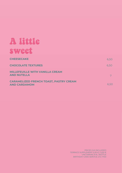## A little sweet

| <b>CHEESECAKE</b>                                                    | 6,50 |
|----------------------------------------------------------------------|------|
| <b>CHOCOLATE TEXTURES</b>                                            | 6,50 |
| <b>MILLEFEUILLE WITH VANILLA CREAM</b><br><b>AND NUTELLA</b>         |      |
| <b>CARAMELIZED FRENCH TOAST, PASTRY CREAM</b><br><b>AND CARDAMOM</b> | 6,50 |

PRICES IVA INCLUIDED TERRACE SUPPLEMENT 0,30 € / 0,50 € UNCORKING 8 € / BOTTLE BIRTHDAY CAKE SERVICE 2 € / PAX